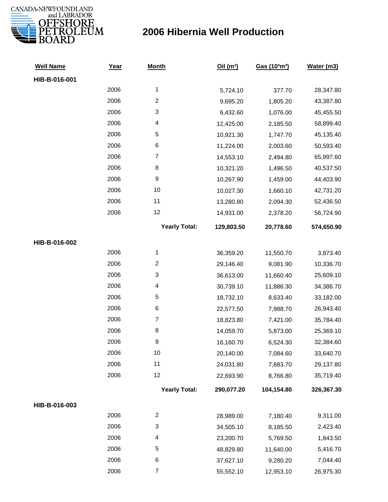

| <b>Well Name</b> | <u>Year</u> | <b>Month</b>            | Oil(m <sup>3</sup> ) | Gas (103m3) | Water (m3) |
|------------------|-------------|-------------------------|----------------------|-------------|------------|
| HIB-B-016-001    |             |                         |                      |             |            |
|                  | 2006        | $\mathbf{1}$            | 5,724.10             | 377.70      | 28,347.80  |
|                  | 2006        | $\overline{c}$          | 9,695.20             | 1,805.20    | 43,387.80  |
|                  | 2006        | 3                       | 6,432.60             | 1,076.00    | 45,455.50  |
|                  | 2006        | 4                       | 12,425.00            | 2,185.50    | 58,899.40  |
|                  | 2006        | 5                       | 10,921.30            | 1,747.70    | 45,135.40  |
|                  | 2006        | 6                       | 11,224.00            | 2,003.60    | 50,593.40  |
|                  | 2006        | $\boldsymbol{7}$        | 14,553.10            | 2,494.80    | 65,997.60  |
|                  | 2006        | 8                       | 10,321.20            | 1,496.50    | 40,537.50  |
|                  | 2006        | 9                       | 10,267.90            | 1,459.00    | 44,403.90  |
|                  | 2006        | 10                      | 10,027.30            | 1,660.10    | 42,731.20  |
|                  | 2006        | 11                      | 13,280.80            | 2,094.30    | 52,436.50  |
|                  | 2006        | 12                      | 14,931.00            | 2,378.20    | 56,724.90  |
|                  |             | <b>Yearly Total:</b>    | 129,803.50           | 20,778.60   | 574,650.90 |
| HIB-B-016-002    |             |                         |                      |             |            |
|                  | 2006        | 1                       | 36,359.20            | 11,550.70   | 3,873.40   |
|                  | 2006        | $\overline{\mathbf{c}}$ | 29,146.40            | 9,081.90    | 10,336.70  |
|                  | 2006        | 3                       | 36,613.00            | 11,660.40   | 25,609.10  |
|                  | 2006        | 4                       | 30,739.10            | 11,886.30   | 34,386.70  |
|                  | 2006        | 5                       | 18,732.10            | 8,633.40    | 33,182.00  |
|                  | 2006        | 6                       | 22,577.50            | 7,988.70    | 26,943.40  |
|                  | 2006        | $\boldsymbol{7}$        | 18,823.80            | 7,421.00    | 35,784.40  |
|                  | 2006        | 8                       | 14,059.70            | 5,873.00    | 25,369.10  |
|                  | 2006        | 9                       | 16,160.70            | 6,524.30    | 32,384.60  |
|                  | 2006        | 10                      | 20,140.00            | 7,084.60    | 33,640.70  |
|                  | 2006        | 11                      | 24,031.80            | 7,683.70    | 29,137.80  |
|                  | 2006        | 12                      | 22,693.90            | 8,766.80    | 35,719.40  |
|                  |             | <b>Yearly Total:</b>    | 290,077.20           | 104,154.80  | 326,367.30 |
| HIB-B-016-003    |             |                         |                      |             |            |
|                  | 2006        | $\overline{\mathbf{c}}$ | 28,989.00            | 7,180.40    | 9,311.00   |
|                  | 2006        | 3                       | 34,505.10            | 8,185.50    | 2,423.40   |
|                  | 2006        | 4                       | 23,200.70            | 5,769.50    | 1,843.50   |
|                  | 2006        | 5                       | 48,829.80            | 11,640.00   | 5,416.70   |
|                  | 2006        | 6                       | 37,627.10            | 9,280.20    | 7,044.40   |
|                  | 2006        | $\overline{7}$          | 55,552.10            | 12,953.10   | 26,975.30  |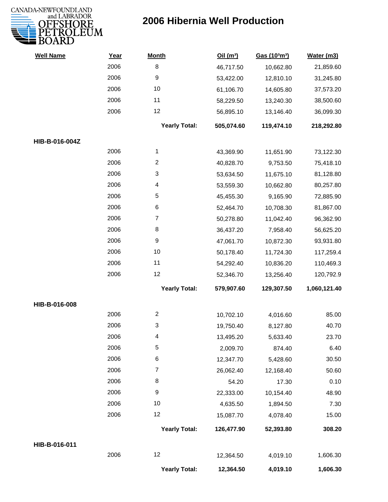

| <b>Well Name</b> | Year | <b>Month</b>         | Oil(m <sup>3</sup> ) | Gas (103m3) | Water (m3)   |
|------------------|------|----------------------|----------------------|-------------|--------------|
|                  | 2006 | 8                    | 46,717.50            | 10,662.80   | 21,859.60    |
|                  | 2006 | $\boldsymbol{9}$     | 53,422.00            | 12,810.10   | 31,245.80    |
|                  | 2006 | 10                   | 61,106.70            | 14,605.80   | 37,573.20    |
|                  | 2006 | 11                   | 58,229.50            | 13,240.30   | 38,500.60    |
|                  | 2006 | 12                   | 56,895.10            | 13,146.40   | 36,099.30    |
|                  |      | <b>Yearly Total:</b> | 505,074.60           | 119,474.10  | 218,292.80   |
| HIB-B-016-004Z   |      |                      |                      |             |              |
|                  | 2006 | 1                    | 43,369.90            | 11,651.90   | 73,122.30    |
|                  | 2006 | $\overline{c}$       | 40,828.70            | 9,753.50    | 75,418.10    |
|                  | 2006 | 3                    | 53,634.50            | 11,675.10   | 81,128.80    |
|                  | 2006 | 4                    | 53,559.30            | 10,662.80   | 80,257.80    |
|                  | 2006 | 5                    | 45,455.30            | 9,165.90    | 72,885.90    |
|                  | 2006 | 6                    | 52,464.70            | 10,708.30   | 81,867.00    |
|                  | 2006 | $\overline{7}$       | 50,278.80            | 11,042.40   | 96,362.90    |
|                  | 2006 | 8                    | 36,437.20            | 7,958.40    | 56,625.20    |
|                  | 2006 | 9                    | 47,061.70            | 10,872.30   | 93,931.80    |
|                  | 2006 | 10                   | 50,178.40            | 11,724.30   | 117,259.4    |
|                  | 2006 | 11                   | 54,292.40            | 10,836.20   | 110,469.3    |
|                  | 2006 | 12                   | 52,346.70            | 13,256.40   | 120,792.9    |
|                  |      | <b>Yearly Total:</b> | 579,907.60           | 129,307.50  | 1,060,121.40 |
| HIB-B-016-008    |      |                      |                      |             |              |
|                  | 2006 | $\overline{2}$       | 10,702.10            | 4,016.60    | 85.00        |
|                  | 2006 | 3                    | 19,750.40            | 8,127.80    | 40.70        |
|                  | 2006 | 4                    | 13,495.20            | 5,633.40    | 23.70        |
|                  | 2006 | 5                    | 2,009.70             | 874.40      | 6.40         |
|                  | 2006 | 6                    | 12,347.70            | 5,428.60    | 30.50        |
|                  | 2006 | $\overline{7}$       | 26,062.40            | 12,168.40   | 50.60        |
|                  | 2006 | 8                    | 54.20                | 17.30       | 0.10         |
|                  | 2006 | $\boldsymbol{9}$     | 22,333.00            | 10,154.40   | 48.90        |
|                  | 2006 | 10                   | 4,635.50             | 1,894.50    | 7.30         |
|                  | 2006 | 12                   | 15,087.70            | 4,078.40    | 15.00        |
|                  |      | <b>Yearly Total:</b> | 126,477.90           | 52,393.80   | 308.20       |
| HIB-B-016-011    |      |                      |                      |             |              |
|                  | 2006 | 12                   | 12,364.50            | 4,019.10    | 1,606.30     |
|                  |      | <b>Yearly Total:</b> | 12,364.50            | 4,019.10    | 1,606.30     |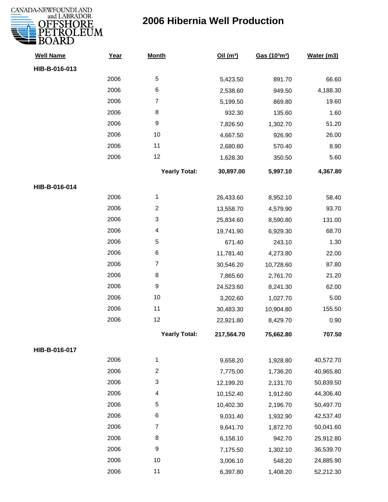

| <b>Well Name</b> | Year | <b>Month</b>         | Oil(m <sup>3</sup> ) | Gas (103m3) | Water (m3) |
|------------------|------|----------------------|----------------------|-------------|------------|
| HIB-B-016-013    |      |                      |                      |             |            |
|                  | 2006 | 5                    | 5,423.50             | 891.70      | 66.60      |
|                  | 2006 | 6                    | 2,538.60             | 949.50      | 4,188.30   |
|                  | 2006 | $\overline{7}$       | 5,199.50             | 869.80      | 19.60      |
|                  | 2006 | 8                    | 932.30               | 135.60      | 1.60       |
|                  | 2006 | 9                    | 7,826.50             | 1,302.70    | 51.20      |
|                  | 2006 | 10                   | 4,667.50             | 926.90      | 26.00      |
|                  | 2006 | 11                   | 2,680.80             | 570.40      | 8.90       |
|                  | 2006 | 12                   | 1,628.30             | 350.50      | 5.60       |
|                  |      | <b>Yearly Total:</b> | 30,897.00            | 5,997.10    | 4,367.80   |
| HIB-B-016-014    |      |                      |                      |             |            |
|                  | 2006 | $\mathbf{1}$         | 26,433.60            | 8,952.10    | 58.40      |
|                  | 2006 | $\overline{c}$       | 13,558.70            | 4,579.90    | 93.70      |
|                  | 2006 | 3                    | 25,834.60            | 8,590.80    | 131.00     |
|                  | 2006 | 4                    | 19,741.90            | 6,929.30    | 68.70      |
|                  | 2006 | 5                    | 671.40               | 243.10      | 1.30       |
|                  | 2006 | 6                    | 11,781.40            | 4,273.80    | 22.00      |
|                  | 2006 | $\overline{7}$       | 30,546.20            | 10,728.60   | 87.80      |
|                  | 2006 | 8                    | 7,865.60             | 2,761.70    | 21.20      |
|                  | 2006 | 9                    | 24,523.60            | 8,241.30    | 62.00      |
|                  | 2006 | 10                   | 3,202.60             | 1,027.70    | 5.00       |
|                  | 2006 | 11                   | 30,483.30            | 10,904.80   | 155.50     |
|                  | 2006 | 12                   | 22,921.80            | 8,429.70    | 0.90       |
|                  |      | <b>Yearly Total:</b> | 217,564.70           | 75,662.80   | 707.50     |
| HIB-B-016-017    |      |                      |                      |             |            |
|                  | 2006 | 1                    | 9,658.20             | 1,928.80    | 40,572.70  |
|                  | 2006 | $\overline{c}$       | 7,775.00             | 1,736.20    | 40,965.80  |
|                  | 2006 | 3                    | 12,199.20            | 2,131.70    | 50,839.50  |
|                  | 2006 | 4                    | 10,152.40            | 1,912.60    | 44,306.40  |
|                  | 2006 | 5                    | 10,402.30            | 2,196.70    | 50,497.70  |
|                  | 2006 | 6                    | 9,031.40             | 1,932.90    | 42,537.40  |
|                  | 2006 | $\overline{7}$       | 9,641.70             | 1,872.70    | 50,041.60  |
|                  | 2006 | 8                    | 6,158.10             | 942.70      | 25,912.80  |
|                  | 2006 | 9                    | 7,175.50             | 1,302.10    | 36,539.70  |
|                  | 2006 | 10                   | 3,006.10             | 548.20      | 24,885.90  |
|                  | 2006 | 11                   | 6,397.80             | 1,408.20    | 52,212.30  |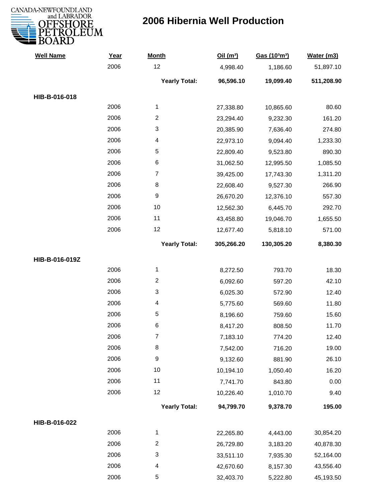

| <b>Well Name</b> | Year | <b>Month</b>            | Oil(m <sup>3</sup> ) | Gas (103m3) | Water (m3) |
|------------------|------|-------------------------|----------------------|-------------|------------|
|                  | 2006 | 12                      | 4,998.40             | 1,186.60    | 51,897.10  |
|                  |      | <b>Yearly Total:</b>    | 96,596.10            | 19,099.40   | 511,208.90 |
| HIB-B-016-018    |      |                         |                      |             |            |
|                  | 2006 | $\mathbf{1}$            | 27,338.80            | 10,865.60   | 80.60      |
|                  | 2006 | $\overline{\mathbf{c}}$ | 23,294.40            | 9,232.30    | 161.20     |
|                  | 2006 | 3                       | 20,385.90            | 7,636.40    | 274.80     |
|                  | 2006 | 4                       | 22,973.10            | 9,094.40    | 1,233.30   |
|                  | 2006 | 5                       | 22,809.40            | 9,523.80    | 890.30     |
|                  | 2006 | 6                       | 31,062.50            | 12,995.50   | 1,085.50   |
|                  | 2006 | $\boldsymbol{7}$        | 39,425.00            | 17,743.30   | 1,311.20   |
|                  | 2006 | 8                       | 22,608.40            | 9,527.30    | 266.90     |
|                  | 2006 | $\boldsymbol{9}$        | 26,670.20            | 12,376.10   | 557.30     |
|                  | 2006 | 10                      | 12,562.30            | 6,445.70    | 292.70     |
|                  | 2006 | 11                      | 43,458.80            | 19,046.70   | 1,655.50   |
|                  | 2006 | 12                      | 12,677.40            | 5,818.10    | 571.00     |
|                  |      | <b>Yearly Total:</b>    | 305,266.20           | 130,305.20  | 8,380.30   |
| HIB-B-016-019Z   |      |                         |                      |             |            |
|                  | 2006 | $\mathbf{1}$            | 8,272.50             | 793.70      | 18.30      |
|                  | 2006 | $\overline{\mathbf{c}}$ | 6,092.60             | 597.20      | 42.10      |
|                  | 2006 | 3                       | 6,025.30             | 572.90      | 12.40      |
|                  | 2006 | 4                       | 5,775.60             | 569.60      | 11.80      |
|                  | 2006 | 5                       | 8,196.60             | 759.60      | 15.60      |
|                  | 2006 | 6                       | 8,417.20             | 808.50      | 11.70      |
|                  | 2006 | 7                       | 7,183.10             | 774.20      | 12.40      |
|                  | 2006 | 8                       | 7,542.00             | 716.20      | 19.00      |
|                  | 2006 | 9                       | 9,132.60             | 881.90      | 26.10      |
|                  | 2006 | 10                      | 10,194.10            | 1,050.40    | 16.20      |
|                  | 2006 | 11                      | 7,741.70             | 843.80      | 0.00       |
|                  | 2006 | 12                      | 10,226.40            | 1,010.70    | 9.40       |
|                  |      | <b>Yearly Total:</b>    | 94,799.70            | 9,378.70    | 195.00     |
| HIB-B-016-022    |      |                         |                      |             |            |
|                  | 2006 | $\mathbf{1}$            | 22,265.80            | 4,443.00    | 30,854.20  |
|                  | 2006 | $\overline{c}$          | 26,729.80            | 3,183.20    | 40,878.30  |
|                  | 2006 | 3                       | 33,511.10            | 7,935.30    | 52,164.00  |
|                  | 2006 | 4                       | 42,670.60            | 8,157.30    | 43,556.40  |
|                  | 2006 | 5                       | 32,403.70            | 5,222.80    | 45,193.50  |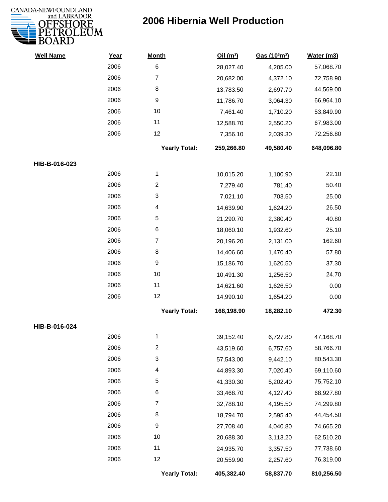

| <b>Well Name</b> | Year | <b>Month</b>         | Oil(m <sup>3</sup> ) | Gas (103m3) | Water (m3) |
|------------------|------|----------------------|----------------------|-------------|------------|
|                  | 2006 | $\,6$                | 28,027.40            | 4,205.00    | 57,068.70  |
|                  | 2006 | 7                    | 20,682.00            | 4,372.10    | 72,758.90  |
|                  | 2006 | 8                    | 13,783.50            | 2,697.70    | 44,569.00  |
|                  | 2006 | 9                    | 11,786.70            | 3,064.30    | 66,964.10  |
|                  | 2006 | 10                   | 7,461.40             | 1,710.20    | 53,849.90  |
|                  | 2006 | 11                   | 12,588.70            | 2,550.20    | 67,983.00  |
|                  | 2006 | 12                   | 7,356.10             | 2,039.30    | 72,256.80  |
|                  |      | <b>Yearly Total:</b> | 259,266.80           | 49,580.40   | 648,096.80 |
| HIB-B-016-023    |      |                      |                      |             |            |
|                  | 2006 | $\mathbf 1$          | 10,015.20            | 1,100.90    | 22.10      |
|                  | 2006 | $\overline{2}$       | 7,279.40             | 781.40      | 50.40      |
|                  | 2006 | 3                    | 7,021.10             | 703.50      | 25.00      |
|                  | 2006 | 4                    | 14,639.90            | 1,624.20    | 26.50      |
|                  | 2006 | 5                    | 21,290.70            | 2,380.40    | 40.80      |
|                  | 2006 | 6                    | 18,060.10            | 1,932.60    | 25.10      |
|                  | 2006 | $\overline{7}$       | 20,196.20            | 2,131.00    | 162.60     |
|                  | 2006 | 8                    | 14,406.60            | 1,470.40    | 57.80      |
|                  | 2006 | $\boldsymbol{9}$     | 15,186.70            | 1,620.50    | 37.30      |
|                  | 2006 | 10                   | 10,491.30            | 1,256.50    | 24.70      |
|                  | 2006 | 11                   | 14,621.60            | 1,626.50    | 0.00       |
|                  | 2006 | 12                   | 14,990.10            | 1,654.20    | 0.00       |
|                  |      | <b>Yearly Total:</b> | 168,198.90           | 18,282.10   | 472.30     |
| HIB-B-016-024    |      |                      |                      |             |            |
|                  | 2006 | 1                    | 39,152.40            | 6,727.80    | 47,168.70  |
|                  | 2006 | $\boldsymbol{2}$     | 43,519.60            | 6,757.60    | 58,766.70  |
|                  | 2006 | $\mathfrak{S}$       | 57,543.00            | 9,442.10    | 80,543.30  |
|                  | 2006 | 4                    | 44,893.30            | 7,020.40    | 69,110.60  |
|                  | 2006 | 5                    | 41,330.30            | 5,202.40    | 75,752.10  |
|                  | 2006 | 6                    | 33,468.70            | 4,127.40    | 68,927.80  |
|                  | 2006 | $\overline{7}$       | 32,788.10            | 4,195.50    | 74,299.80  |
|                  | 2006 | 8                    | 18,794.70            | 2,595.40    | 44,454.50  |
|                  | 2006 | $\boldsymbol{9}$     | 27,708.40            | 4,040.80    | 74,665.20  |
|                  | 2006 | 10                   | 20,688.30            | 3,113.20    | 62,510.20  |
|                  | 2006 | 11                   | 24,935.70            | 3,357.50    | 77,738.60  |
|                  | 2006 | 12                   | 20,559.90            | 2,257.60    | 76,319.00  |
|                  |      | <b>Yearly Total:</b> | 405,382.40           | 58,837.70   | 810,256.50 |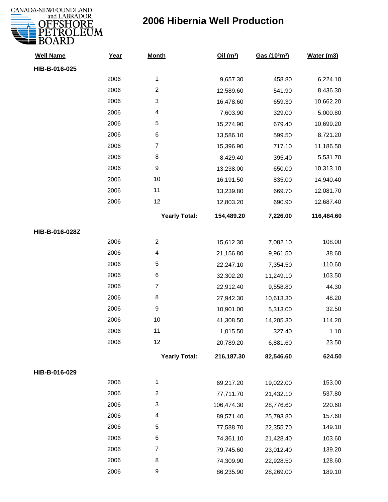

| <b>Well Name</b> | Year | <b>Month</b>         | Oil(m <sup>3</sup> ) | Gas (103m3) | Water (m3) |
|------------------|------|----------------------|----------------------|-------------|------------|
| HIB-B-016-025    |      |                      |                      |             |            |
|                  | 2006 | 1                    | 9,657.30             | 458.80      | 6,224.10   |
|                  | 2006 | $\overline{c}$       | 12,589.60            | 541.90      | 8,436.30   |
|                  | 2006 | 3                    | 16,478.60            | 659.30      | 10,662.20  |
|                  | 2006 | 4                    | 7,603.90             | 329.00      | 5,000.80   |
|                  | 2006 | 5                    | 15,274.90            | 679.40      | 10,699.20  |
|                  | 2006 | 6                    | 13,586.10            | 599.50      | 8,721.20   |
|                  | 2006 | $\overline{7}$       | 15,396.90            | 717.10      | 11,186.50  |
|                  | 2006 | 8                    | 8,429.40             | 395.40      | 5,531.70   |
|                  | 2006 | $\boldsymbol{9}$     | 13,238.00            | 650.00      | 10,313.10  |
|                  | 2006 | 10                   | 16,191.50            | 835.00      | 14,940.40  |
|                  | 2006 | 11                   | 13,239.80            | 669.70      | 12,081.70  |
|                  | 2006 | 12                   | 12,803.20            | 690.90      | 12,687.40  |
|                  |      | <b>Yearly Total:</b> | 154,489.20           | 7,226.00    | 116,484.60 |
| HIB-B-016-028Z   |      |                      |                      |             |            |
|                  | 2006 | $\overline{2}$       | 15,612.30            | 7,082.10    | 108.00     |
|                  | 2006 | 4                    | 21,156.80            | 9,961.50    | 38.60      |
|                  | 2006 | 5                    | 22,247.10            | 7,354.50    | 110.60     |
|                  | 2006 | 6                    | 32,302.20            | 11,249.10   | 103.50     |
|                  | 2006 | $\overline{7}$       | 22,912.40            | 9,558.80    | 44.30      |
|                  | 2006 | 8                    | 27,942.30            | 10,613.30   | 48.20      |
|                  | 2006 | 9                    | 10,901.00            | 5,313.00    | 32.50      |
|                  | 2006 | 10                   | 41,308.50            | 14,205.30   | 114.20     |
|                  | 2006 | 11                   | 1,015.50             | 327.40      | 1.10       |
|                  | 2006 | 12                   | 20,789.20            | 6,881.60    | 23.50      |
|                  |      | <b>Yearly Total:</b> | 216,187.30           | 82,546.60   | 624.50     |
| HIB-B-016-029    |      |                      |                      |             |            |
|                  | 2006 | 1                    | 69,217.20            | 19,022.00   | 153.00     |
|                  | 2006 | $\overline{2}$       | 77,711.70            | 21,432.10   | 537.80     |
|                  | 2006 | 3                    | 106,474.30           | 28,776.60   | 220.60     |
|                  | 2006 | 4                    | 89,571.40            | 25,793.80   | 157.60     |
|                  | 2006 | 5                    | 77,588.70            | 22,355.70   | 149.10     |
|                  | 2006 | 6                    | 74,361.10            | 21,428.40   | 103.60     |
|                  | 2006 | $\overline{7}$       | 79,745.60            | 23,012.40   | 139.20     |
|                  | 2006 | 8                    | 74,309.90            | 22,928.50   | 128.60     |
|                  | 2006 | 9                    | 86,235.90            | 28,269.00   | 189.10     |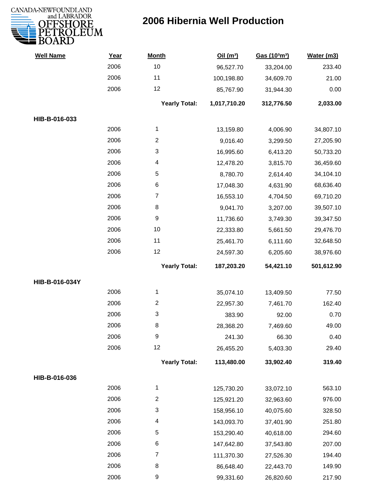

| <b>Well Name</b> | Year | <b>Month</b>             | Oil(m <sup>3</sup> ) | Gas (103m3) | Water (m3) |
|------------------|------|--------------------------|----------------------|-------------|------------|
|                  | 2006 | 10                       | 96,527.70            | 33,204.00   | 233.40     |
|                  | 2006 | 11                       | 100,198.80           | 34,609.70   | 21.00      |
|                  | 2006 | 12                       | 85,767.90            | 31,944.30   | 0.00       |
|                  |      | <b>Yearly Total:</b>     | 1,017,710.20         | 312,776.50  | 2,033.00   |
| HIB-B-016-033    |      |                          |                      |             |            |
|                  | 2006 | 1                        | 13,159.80            | 4,006.90    | 34,807.10  |
|                  | 2006 | $\overline{c}$           | 9,016.40             | 3,299.50    | 27,205.90  |
|                  | 2006 | 3                        | 16,995.60            | 6,413.20    | 50,733.20  |
|                  | 2006 | $\overline{\mathcal{A}}$ | 12,478.20            | 3,815.70    | 36,459.60  |
|                  | 2006 | 5                        | 8,780.70             | 2,614.40    | 34,104.10  |
|                  | 2006 | $\,6$                    | 17,048.30            | 4,631.90    | 68,636.40  |
|                  | 2006 | $\overline{7}$           | 16,553.10            | 4,704.50    | 69,710.20  |
|                  | 2006 | 8                        | 9,041.70             | 3,207.00    | 39,507.10  |
|                  | 2006 | 9                        | 11,736.60            | 3,749.30    | 39,347.50  |
|                  | 2006 | 10                       | 22,333.80            | 5,661.50    | 29,476.70  |
|                  | 2006 | 11                       | 25,461.70            | 6,111.60    | 32,648.50  |
|                  | 2006 | 12                       | 24,597.30            | 6,205.60    | 38,976.60  |
|                  |      | <b>Yearly Total:</b>     | 187,203.20           | 54,421.10   | 501,612.90 |
| HIB-B-016-034Y   |      |                          |                      |             |            |
|                  | 2006 | 1                        | 35,074.10            | 13,409.50   | 77.50      |
|                  | 2006 | $\overline{2}$           | 22,957.30            | 7,461.70    | 162.40     |
|                  | 2006 | 3                        | 383.90               | 92.00       | 0.70       |
|                  | 2006 | 8                        | 28,368.20            | 7,469.60    | 49.00      |
|                  | 2006 | 9                        | 241.30               | 66.30       | 0.40       |
|                  | 2006 | 12                       | 26,455.20            | 5,403.30    | 29.40      |
|                  |      | <b>Yearly Total:</b>     | 113,480.00           | 33,902.40   | 319.40     |
| HIB-B-016-036    |      |                          |                      |             |            |
|                  | 2006 | 1                        | 125,730.20           | 33,072.10   | 563.10     |
|                  | 2006 | $\overline{c}$           | 125,921.20           | 32,963.60   | 976.00     |
|                  | 2006 | 3                        | 158,956.10           | 40,075.60   | 328.50     |
|                  | 2006 | 4                        | 143,093.70           | 37,401.90   | 251.80     |
|                  | 2006 | 5                        | 153,290.40           | 40,618.00   | 294.60     |
|                  | 2006 | 6                        | 147,642.80           | 37,543.80   | 207.00     |
|                  | 2006 | $\overline{7}$           | 111,370.30           | 27,526.30   | 194.40     |
|                  | 2006 | 8                        | 86,648.40            | 22,443.70   | 149.90     |
|                  | 2006 | 9                        | 99,331.60            | 26,820.60   | 217.90     |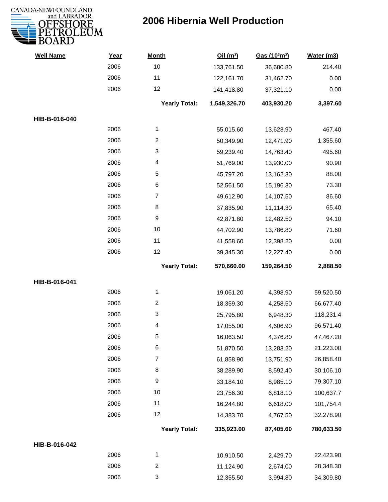

| <b>Well Name</b> | Year | <b>Month</b>         | Oil(m <sup>3</sup> ) | Gas (103m3) | Water (m3) |
|------------------|------|----------------------|----------------------|-------------|------------|
|                  | 2006 | 10                   | 133,761.50           | 36,680.80   | 214.40     |
|                  | 2006 | 11                   | 122,161.70           | 31,462.70   | 0.00       |
|                  | 2006 | 12                   | 141,418.80           | 37,321.10   | 0.00       |
|                  |      | <b>Yearly Total:</b> | 1,549,326.70         | 403,930.20  | 3,397.60   |
| HIB-B-016-040    |      |                      |                      |             |            |
|                  | 2006 | 1                    | 55,015.60            | 13,623.90   | 467.40     |
|                  | 2006 | $\overline{c}$       | 50,349.90            | 12,471.90   | 1,355.60   |
|                  | 2006 | 3                    | 59,239.40            | 14,763.40   | 495.60     |
|                  | 2006 | 4                    | 51,769.00            | 13,930.00   | 90.90      |
|                  | 2006 | 5                    | 45,797.20            | 13,162.30   | 88.00      |
|                  | 2006 | 6                    | 52,561.50            | 15,196.30   | 73.30      |
|                  | 2006 | 7                    | 49,612.90            | 14,107.50   | 86.60      |
|                  | 2006 | 8                    | 37,835.90            | 11,114.30   | 65.40      |
|                  | 2006 | 9                    | 42,871.80            | 12,482.50   | 94.10      |
|                  | 2006 | 10                   | 44,702.90            | 13,786.80   | 71.60      |
|                  | 2006 | 11                   | 41,558.60            | 12,398.20   | 0.00       |
|                  | 2006 | 12                   | 39,345.30            | 12,227.40   | 0.00       |
|                  |      | <b>Yearly Total:</b> | 570,660.00           | 159,264.50  | 2,888.50   |
| HIB-B-016-041    |      |                      |                      |             |            |
|                  | 2006 | 1                    | 19,061.20            | 4,398.90    | 59,520.50  |
|                  | 2006 | $\overline{c}$       | 18,359.30            | 4,258.50    | 66,677.40  |
|                  | 2006 | 3                    | 25,795.80            | 6,948.30    | 118,231.4  |
|                  | 2006 | 4                    | 17,055.00            | 4,606.90    | 96,571.40  |
|                  | 2006 | 5                    | 16,063.50            | 4,376.80    | 47,467.20  |
|                  | 2006 | 6                    | 51,870.50            | 13,283.20   | 21,223.00  |
|                  | 2006 | $\overline{7}$       | 61,858.90            | 13,751.90   | 26,858.40  |
|                  | 2006 | 8                    | 38,289.90            | 8,592.40    | 30,106.10  |
|                  | 2006 | 9                    | 33,184.10            | 8,985.10    | 79,307.10  |
|                  | 2006 | 10                   | 23,756.30            | 6,818.10    | 100,637.7  |
|                  | 2006 | 11                   | 16,244.80            | 6,618.00    | 101,754.4  |
|                  | 2006 | 12                   | 14,383.70            | 4,767.50    | 32,278.90  |
|                  |      | <b>Yearly Total:</b> | 335,923.00           | 87,405.60   | 780,633.50 |
| HIB-B-016-042    |      |                      |                      |             |            |
|                  | 2006 | 1                    | 10,910.50            | 2,429.70    | 22,423.90  |
|                  | 2006 | $\overline{c}$       | 11,124.90            | 2,674.00    | 28,348.30  |
|                  | 2006 | 3                    | 12,355.50            | 3,994.80    | 34,309.80  |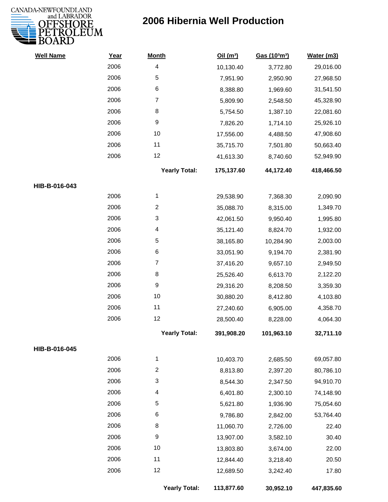

| <b>Well Name</b> | Year | <b>Month</b>         | Oil(m <sup>3</sup> ) | Gas (103m3) | Water (m3) |
|------------------|------|----------------------|----------------------|-------------|------------|
|                  | 2006 | 4                    | 10,130.40            | 3,772.80    | 29,016.00  |
|                  | 2006 | 5                    | 7,951.90             | 2,950.90    | 27,968.50  |
|                  | 2006 | 6                    | 8,388.80             | 1,969.60    | 31,541.50  |
|                  | 2006 | $\overline{7}$       | 5,809.90             | 2,548.50    | 45,328.90  |
|                  | 2006 | 8                    | 5,754.50             | 1,387.10    | 22,081.60  |
|                  | 2006 | $\boldsymbol{9}$     | 7,826.20             | 1,714.10    | 25,926.10  |
|                  | 2006 | 10                   | 17,556.00            | 4,488.50    | 47,908.60  |
|                  | 2006 | 11                   | 35,715.70            | 7,501.80    | 50,663.40  |
|                  | 2006 | 12                   | 41,613.30            | 8,740.60    | 52,949.90  |
|                  |      | <b>Yearly Total:</b> | 175,137.60           | 44,172.40   | 418,466.50 |
| HIB-B-016-043    |      |                      |                      |             |            |
|                  | 2006 | $\mathbf{1}$         | 29,538.90            | 7,368.30    | 2,090.90   |
|                  | 2006 | $\overline{2}$       | 35,088.70            | 8,315.00    | 1,349.70   |
|                  | 2006 | 3                    | 42,061.50            | 9,950.40    | 1,995.80   |
|                  | 2006 | 4                    | 35,121.40            | 8,824.70    | 1,932.00   |
|                  | 2006 | $\sqrt{5}$           | 38,165.80            | 10,284.90   | 2,003.00   |
|                  | 2006 | $\,6$                | 33,051.90            | 9,194.70    | 2,381.90   |
|                  | 2006 | $\overline{7}$       | 37,416.20            | 9,657.10    | 2,949.50   |
|                  | 2006 | 8                    | 25,526.40            | 6,613.70    | 2,122.20   |
|                  | 2006 | $\boldsymbol{9}$     | 29,316.20            | 8,208.50    | 3,359.30   |
|                  | 2006 | 10                   | 30,880.20            | 8,412.80    | 4,103.80   |
|                  | 2006 | 11                   | 27,240.60            | 6,905.00    | 4,358.70   |
|                  | 2006 | 12                   | 28,500.40            | 8,228.00    | 4,064.30   |
|                  |      | <b>Yearly Total:</b> | 391,908.20           | 101,963.10  | 32,711.10  |
| HIB-B-016-045    |      |                      |                      |             |            |
|                  | 2006 | 1                    | 10,403.70            | 2,685.50    | 69,057.80  |
|                  | 2006 | 2                    | 8,813.80             | 2,397.20    | 80,786.10  |
|                  | 2006 | 3                    | 8,544.30             | 2,347.50    | 94,910.70  |
|                  | 2006 | 4                    | 6,401.80             | 2,300.10    | 74,148.90  |
|                  | 2006 | 5                    | 5,621.80             | 1,936.90    | 75,054.60  |
|                  | 2006 | 6                    | 9,786.80             | 2,842.00    | 53,764.40  |
|                  | 2006 | 8                    | 11,060.70            | 2,726.00    | 22.40      |
|                  | 2006 | 9                    | 13,907.00            | 3,582.10    | 30.40      |
|                  | 2006 | 10                   | 13,803.80            | 3,674.00    | 22.00      |
|                  | 2006 | 11                   | 12,844.40            | 3,218.40    | 20.50      |
|                  | 2006 | 12                   | 12,689.50            | 3,242.40    | 17.80      |
|                  |      | <b>Yearly Total:</b> | 113,877.60           | 30,952.10   | 447,835.60 |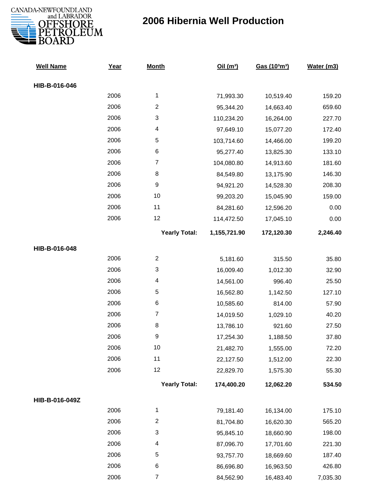

| <b>Well Name</b> | Year | <b>Month</b>         | Oil (m <sup>3</sup> ) | Gas (103m3) | Water (m3) |
|------------------|------|----------------------|-----------------------|-------------|------------|
| HIB-B-016-046    |      |                      |                       |             |            |
|                  | 2006 | $\mathbf{1}$         | 71,993.30             | 10,519.40   | 159.20     |
|                  | 2006 | $\overline{c}$       | 95,344.20             | 14,663.40   | 659.60     |
|                  | 2006 | 3                    | 110,234.20            | 16,264.00   | 227.70     |
|                  | 2006 | 4                    | 97,649.10             | 15,077.20   | 172.40     |
|                  | 2006 | 5                    | 103,714.60            | 14,466.00   | 199.20     |
|                  | 2006 | 6                    | 95,277.40             | 13,825.30   | 133.10     |
|                  | 2006 | $\overline{7}$       | 104,080.80            | 14,913.60   | 181.60     |
|                  | 2006 | $\,8\,$              | 84,549.80             | 13,175.90   | 146.30     |
|                  | 2006 | $\boldsymbol{9}$     | 94,921.20             | 14,528.30   | 208.30     |
|                  | 2006 | 10                   | 99,203.20             | 15,045.90   | 159.00     |
|                  | 2006 | 11                   | 84,281.60             | 12,596.20   | 0.00       |
|                  | 2006 | 12                   | 114,472.50            | 17,045.10   | 0.00       |
|                  |      | <b>Yearly Total:</b> | 1,155,721.90          | 172,120.30  | 2,246.40   |
| HIB-B-016-048    |      |                      |                       |             |            |
|                  | 2006 | $\overline{2}$       | 5,181.60              | 315.50      | 35.80      |
|                  | 2006 | 3                    | 16,009.40             | 1,012.30    | 32.90      |
|                  | 2006 | 4                    | 14,561.00             | 996.40      | 25.50      |
|                  | 2006 | 5                    | 16,562.80             | 1,142.50    | 127.10     |
|                  | 2006 | $\,6$                | 10,585.60             | 814.00      | 57.90      |
|                  | 2006 | $\overline{7}$       | 14,019.50             | 1,029.10    | 40.20      |
|                  | 2006 | 8                    | 13,786.10             | 921.60      | 27.50      |
|                  | 2006 | 9                    | 17,254.30             | 1,188.50    | 37.80      |
|                  | 2006 | 10                   | 21,482.70             | 1,555.00    | 72.20      |
|                  | 2006 | 11                   | 22,127.50             | 1,512.00    | 22.30      |
|                  | 2006 | 12                   | 22,829.70             | 1,575.30    | 55.30      |
|                  |      | <b>Yearly Total:</b> | 174,400.20            | 12,062.20   | 534.50     |
| HIB-B-016-049Z   |      |                      |                       |             |            |
|                  | 2006 | $\mathbf{1}$         | 79,181.40             | 16,134.00   | 175.10     |
|                  | 2006 | $\overline{2}$       | 81,704.80             | 16,620.30   | 565.20     |
|                  | 2006 | 3                    | 95,845.10             | 18,660.90   | 198.00     |
|                  | 2006 | 4                    | 87,096.70             | 17,701.60   | 221.30     |
|                  | 2006 | 5                    | 93,757.70             | 18,669.60   | 187.40     |
|                  | 2006 | 6                    | 86,696.80             | 16,963.50   | 426.80     |
|                  | 2006 | $\overline{7}$       | 84,562.90             | 16,483.40   | 7,035.30   |